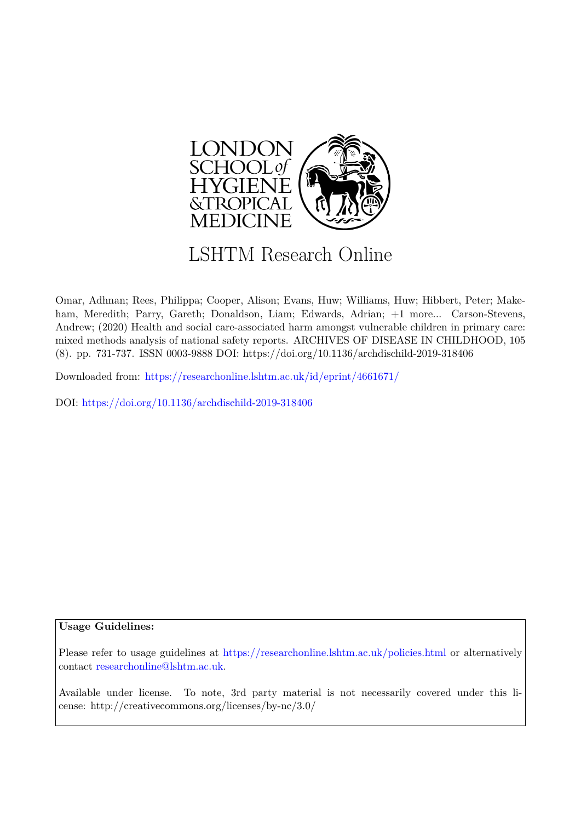

# LSHTM Research Online

Omar, Adhnan; Rees, Philippa; Cooper, Alison; Evans, Huw; Williams, Huw; Hibbert, Peter; Makeham, Meredith; Parry, Gareth; Donaldson, Liam; Edwards, Adrian; +1 more... Carson-Stevens, Andrew; (2020) Health and social care-associated harm amongst vulnerable children in primary care: mixed methods analysis of national safety reports. ARCHIVES OF DISEASE IN CHILDHOOD, 105 (8). pp. 731-737. ISSN 0003-9888 DOI: https://doi.org/10.1136/archdischild-2019-318406

Downloaded from: <https://researchonline.lshtm.ac.uk/id/eprint/4661671/>

DOI: https://doi.org/10.1136/archdischild-2019-318406

# **Usage Guidelines:**

Please refer to usage guidelines at <https://researchonline.lshtm.ac.uk/policies.html> or alternatively contact [researchonline@lshtm.ac.uk.](mailto:researchonline@lshtm.ac.uk)

Available under license. To note, 3rd party material is not necessarily covered under this license: http://creativecommons.org/licenses/by-nc/3.0/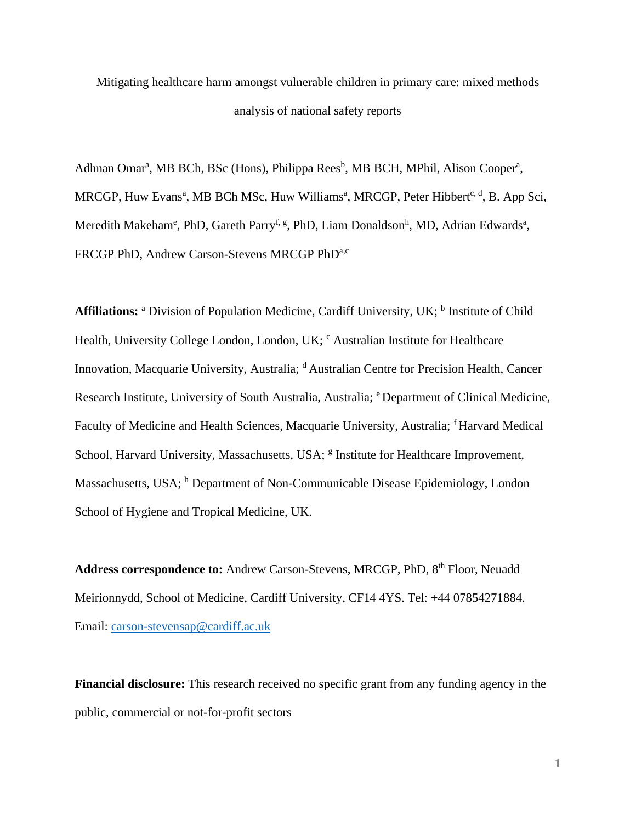Mitigating healthcare harm amongst vulnerable children in primary care: mixed methods analysis of national safety reports

Adhnan Omar<sup>a</sup>, MB BCh, BSc (Hons), Philippa Rees<sup>b</sup>, MB BCH, MPhil, Alison Cooper<sup>a</sup>, MRCGP, Huw Evans<sup>a</sup>, MB BCh MSc, Huw Williams<sup>a</sup>, MRCGP, Peter Hibbert<sup>c, d</sup>, B. App Sci, Meredith Makeham<sup>e</sup>, PhD, Gareth Parry<sup>f, g</sup>, PhD, Liam Donaldson<sup>h</sup>, MD, Adrian Edwards<sup>a</sup>, FRCGP PhD, Andrew Carson-Stevens MRCGP PhDa.c

**Affiliations:** <sup>a</sup> Division of Population Medicine, Cardiff University, UK; <sup>b</sup> Institute of Child Health, University College London, London, UK; <sup>c</sup> Australian Institute for Healthcare Innovation, Macquarie University, Australia; <sup>d</sup> Australian Centre for Precision Health, Cancer Research Institute, University of South Australia, Australia; <sup>e</sup> Department of Clinical Medicine, Faculty of Medicine and Health Sciences, Macquarie University, Australia; <sup>f</sup> Harvard Medical School, Harvard University, Massachusetts, USA; <sup>8</sup> Institute for Healthcare Improvement, Massachusetts, USA; <sup>h</sup> Department of Non-Communicable Disease Epidemiology, London School of Hygiene and Tropical Medicine, UK.

Address correspondence to: Andrew Carson-Stevens, MRCGP, PhD, 8<sup>th</sup> Floor, Neuadd Meirionnydd, School of Medicine, Cardiff University, CF14 4YS. Tel: +44 07854271884. Email: carson-stevensap@cardiff.ac.uk

Financial disclosure: This research received no specific grant from any funding agency in the public, commercial or not-for-profit sectors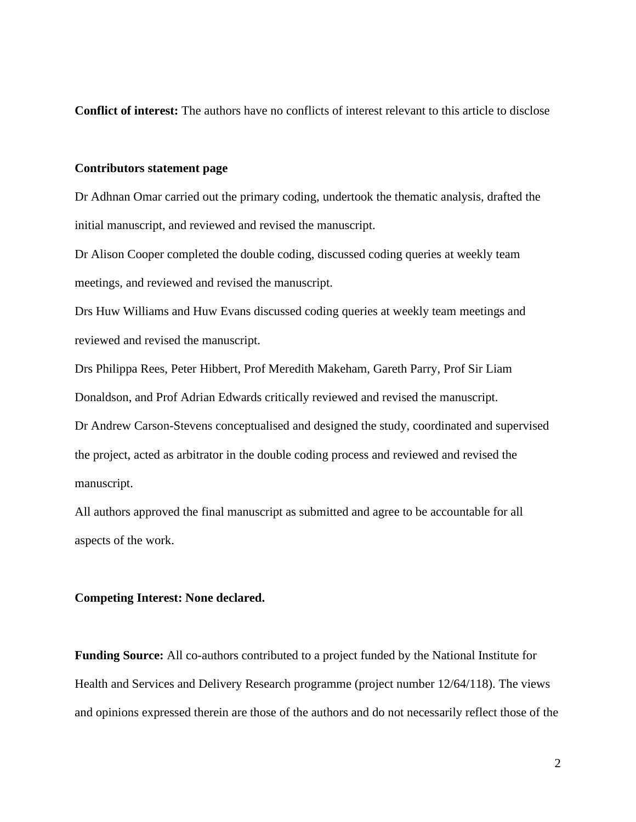Conflict of interest: The authors have no conflicts of interest relevant to this article to disclose

## **Contributors statement page**

Dr Adhnan Omar carried out the primary coding, undertook the thematic analysis, drafted the initial manuscript, and reviewed and revised the manuscript.

Dr Alison Cooper completed the double coding, discussed coding queries at weekly team meetings, and reviewed and revised the manuscript.

Drs Huw Williams and Huw Evans discussed coding queries at weekly team meetings and reviewed and revised the manuscript.

Drs Philippa Rees, Peter Hibbert, Prof Meredith Makeham, Gareth Parry, Prof Sir Liam Donaldson, and Prof Adrian Edwards critically reviewed and revised the manuscript.

Dr Andrew Carson-Stevens conceptualised and designed the study, coordinated and supervised the project, acted as arbitrator in the double coding process and reviewed and revised the manuscript.

All authors approved the final manuscript as submitted and agree to be accountable for all aspects of the work.

## **Competing Interest: None declared.**

**Funding Source:** All co-authors contributed to a project funded by the National Institute for Health and Services and Delivery Research programme (project number 12/64/118). The views and opinions expressed therein are those of the authors and do not necessarily reflect those of the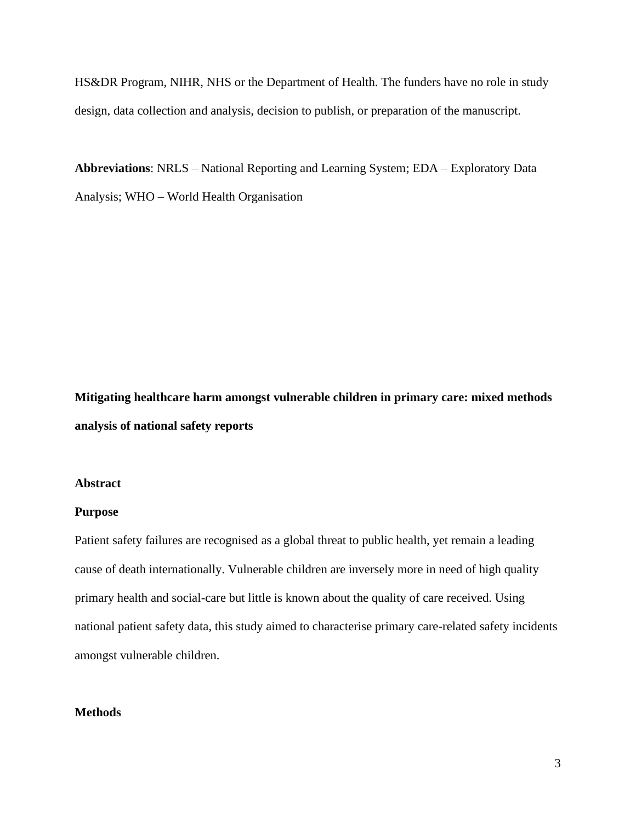HS&DR Program, NIHR, NHS or the Department of Health. The funders have no role in study design, data collection and analysis, decision to publish, or preparation of the manuscript.

Abbreviations: NRLS – National Reporting and Learning System; EDA – Exploratory Data Analysis; WHO – World Health Organisation

Mitigating healthcare harm amongst vulnerable children in primary care: mixed methods analysis of national safety reports

#### **Abstract**

#### **Purpose**

Patient safety failures are recognised as a global threat to public health, yet remain a leading cause of death internationally. Vulnerable children are inversely more in need of high quality primary health and social-care but little is known about the quality of care received. Using national patient safety data, this study aimed to characterise primary care-related safety incidents amongst vulnerable children.

## **Methods**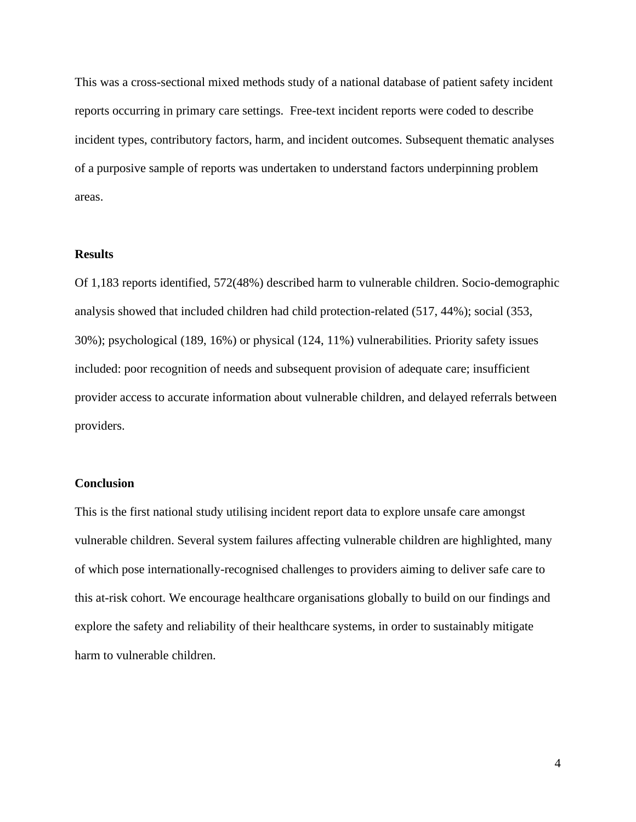This was a cross-sectional mixed methods study of a national database of patient safety incident reports occurring in primary care settings. Free-text incident reports were coded to describe incident types, contributory factors, harm, and incident outcomes. Subsequent thematic analyses of a purposive sample of reports was undertaken to understand factors underpinning problem areas.

#### **Results**

Of 1,183 reports identified, 572(48%) described harm to vulnerable children. Socio-demographic analysis showed that included children had child protection-related (517, 44%); social (353, 30%); psychological (189, 16%) or physical (124, 11%) vulnerabilities. Priority safety issues included: poor recognition of needs and subsequent provision of adequate care; insufficient provider access to accurate information about vulnerable children, and delayed referrals between providers.

#### **Conclusion**

This is the first national study utilising incident report data to explore unsafe care amongst vulnerable children. Several system failures affecting vulnerable children are highlighted, many of which pose internationally-recognised challenges to providers aiming to deliver safe care to this at-risk cohort. We encourage healthcare organisations globally to build on our findings and explore the safety and reliability of their healthcare systems, in order to sustainably mitigate harm to vulnerable children.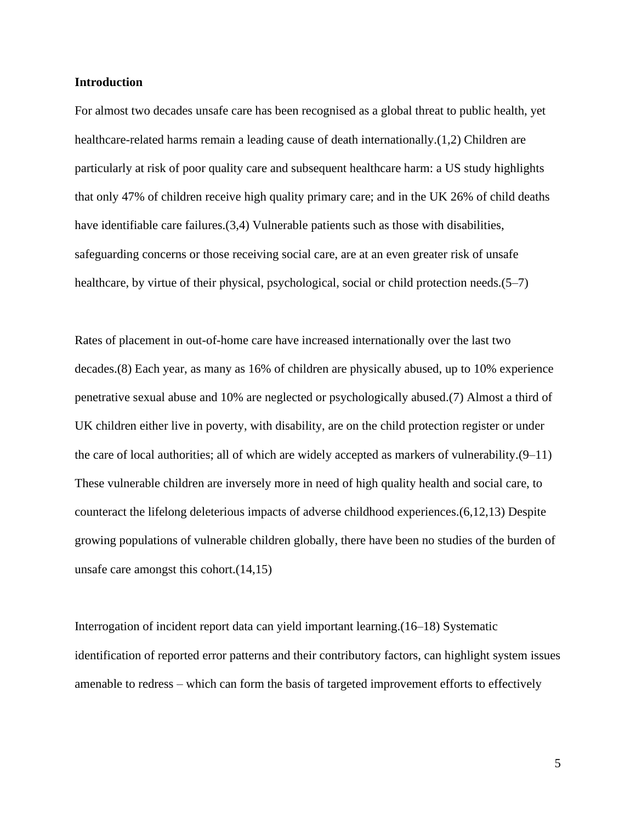#### **Introduction**

For almost two decades unsafe care has been recognised as a global threat to public health, yet healthcare-related harms remain a leading cause of death internationally.(1,2) Children are particularly at risk of poor quality care and subsequent healthcare harm: a US study highlights that only 47% of children receive high quality primary care; and in the UK 26% of child deaths have identifiable care failures. (3,4) Vulnerable patients such as those with disabilities, safeguarding concerns or those receiving social care, are at an even greater risk of unsafe healthcare, by virtue of their physical, psychological, social or child protection needs.  $(5-7)$ 

Rates of placement in out-of-home care have increased internationally over the last two decades. (8) Each year, as many as 16% of children are physically abused, up to 10% experience penetrative sexual abuse and 10% are neglected or psychologically abused. (7) Almost a third of UK children either live in poverty, with disability, are on the child protection register or under the care of local authorities; all of which are widely accepted as markers of vulnerability. $(9-11)$ These vulnerable children are inversely more in need of high quality health and social care, to counteract the lifelong deleterious impacts of adverse childhood experiences. (6,12,13) Despite growing populations of vulnerable children globally, there have been no studies of the burden of unsafe care amongst this cohort. $(14,15)$ 

Interrogation of incident report data can yield important learning. (16–18) Systematic identification of reported error patterns and their contributory factors, can highlight system issues amenable to redress – which can form the basis of targeted improvement efforts to effectively

5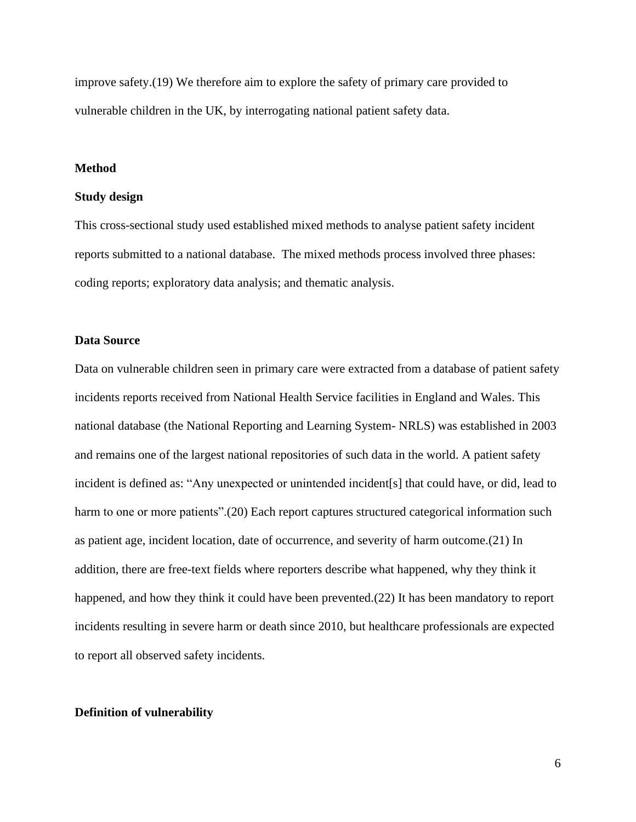improve safety.(19) We therefore aim to explore the safety of primary care provided to vulnerable children in the UK, by interrogating national patient safety data.

#### **Method**

#### Study design

This cross-sectional study used established mixed methods to analyse patient safety incident reports submitted to a national database. The mixed methods process involved three phases: coding reports; exploratory data analysis; and thematic analysis.

## **Data Source**

Data on vulnerable children seen in primary care were extracted from a database of patient safety incidents reports received from National Health Service facilities in England and Wales. This national database (the National Reporting and Learning System-NRLS) was established in 2003 and remains one of the largest national repositories of such data in the world. A patient safety incident is defined as: "Any unexpected or unintended incident[s] that could have, or did, lead to harm to one or more patients".(20) Each report captures structured categorical information such as patient age, incident location, date of occurrence, and severity of harm outcome. (21) In addition, there are free-text fields where reporters describe what happened, why they think it happened, and how they think it could have been prevented. (22) It has been mandatory to report incidents resulting in severe harm or death since 2010, but healthcare professionals are expected to report all observed safety incidents.

#### **Definition of vulnerability**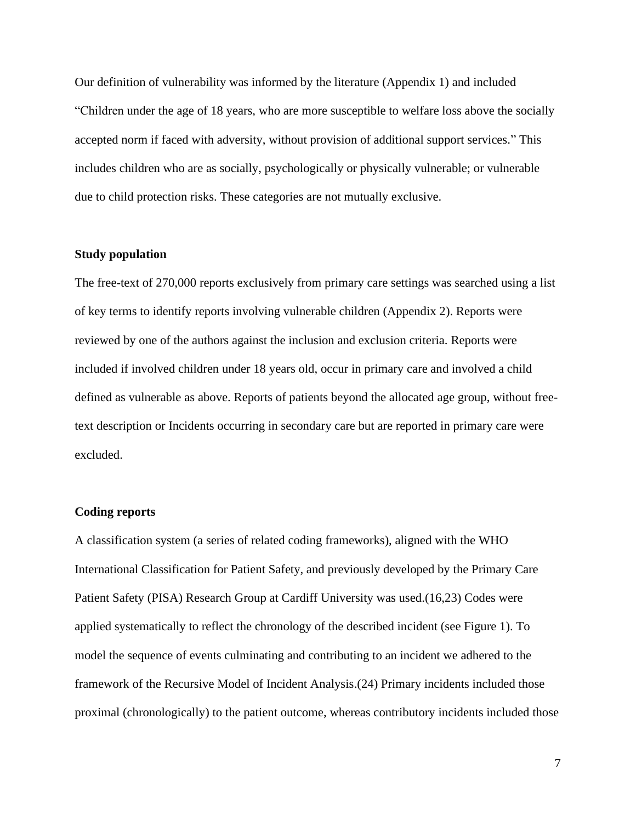Our definition of vulnerability was informed by the literature (Appendix 1) and included "Children under the age of 18 years, who are more susceptible to welfare loss above the socially accepted norm if faced with adversity, without provision of additional support services." This includes children who are as socially, psychologically or physically vulnerable; or vulnerable due to child protection risks. These categories are not mutually exclusive.

#### **Study population**

The free-text of 270,000 reports exclusively from primary care settings was searched using a list of key terms to identify reports involving vulnerable children (Appendix 2). Reports were reviewed by one of the authors against the inclusion and exclusion criteria. Reports were included if involved children under 18 years old, occur in primary care and involved a child defined as vulnerable as above. Reports of patients beyond the allocated age group, without freetext description or Incidents occurring in secondary care but are reported in primary care were excluded.

#### **Coding reports**

A classification system (a series of related coding frameworks), aligned with the WHO International Classification for Patient Safety, and previously developed by the Primary Care Patient Safety (PISA) Research Group at Cardiff University was used. (16,23) Codes were applied systematically to reflect the chronology of the described incident (see Figure 1). To model the sequence of events culminating and contributing to an incident we adhered to the framework of the Recursive Model of Incident Analysis. (24) Primary incidents included those proximal (chronologically) to the patient outcome, whereas contributory incidents included those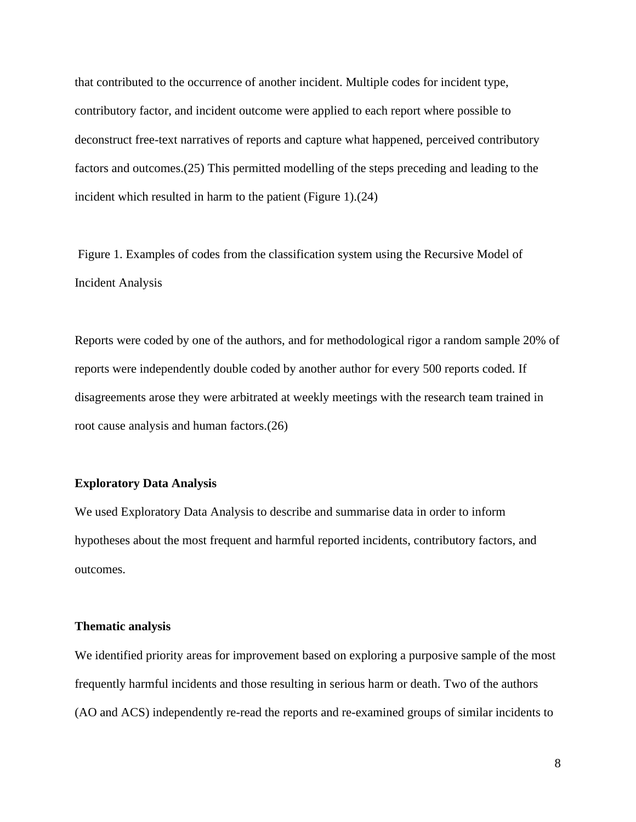that contributed to the occurrence of another incident. Multiple codes for incident type, contributory factor, and incident outcome were applied to each report where possible to deconstruct free-text narratives of reports and capture what happened, perceived contributory factors and outcomes. (25) This permitted modelling of the steps preceding and leading to the incident which resulted in harm to the patient (Figure 1).(24)

Figure 1. Examples of codes from the classification system using the Recursive Model of **Incident Analysis** 

Reports were coded by one of the authors, and for methodological rigor a random sample 20% of reports were independently double coded by another author for every 500 reports coded. If disagreements arose they were arbitrated at weekly meetings with the research team trained in root cause analysis and human factors. (26)

## **Exploratory Data Analysis**

We used Exploratory Data Analysis to describe and summarise data in order to inform hypotheses about the most frequent and harmful reported incidents, contributory factors, and outcomes.

#### **Thematic analysis**

We identified priority areas for improvement based on exploring a purposive sample of the most frequently harmful incidents and those resulting in serious harm or death. Two of the authors (AO and ACS) independently re-read the reports and re-examined groups of similar incidents to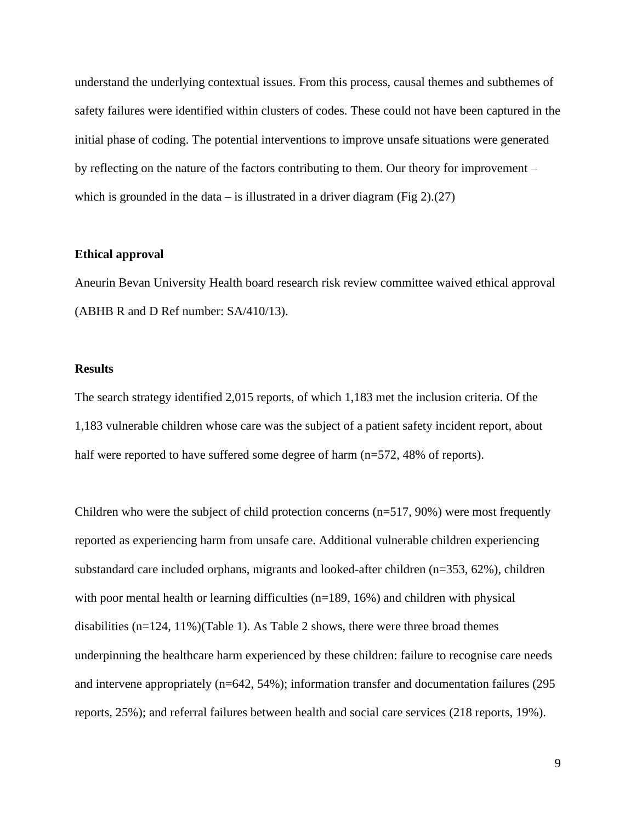understand the underlying contextual issues. From this process, causal themes and subthemes of safety failures were identified within clusters of codes. These could not have been captured in the initial phase of coding. The potential interventions to improve unsafe situations were generated by reflecting on the nature of the factors contributing to them. Our theory for improvement – which is grounded in the data – is illustrated in a driver diagram (Fig 2).(27)

#### **Ethical approval**

Aneurin Bevan University Health board research risk review committee waived ethical approval (ABHB R and D Ref number: SA/410/13).

#### **Results**

The search strategy identified 2,015 reports, of which 1,183 met the inclusion criteria. Of the 1,183 vulnerable children whose care was the subject of a patient safety incident report, about half were reported to have suffered some degree of harm  $(n=572, 48\%$  of reports).

Children who were the subject of child protection concerns  $(n=517, 90%)$  were most frequently reported as experiencing harm from unsafe care. Additional vulnerable children experiencing substandard care included orphans, migrants and looked-after children  $(n=353, 62\%)$ , children with poor mental health or learning difficulties  $(n=189, 16%)$  and children with physical disabilities  $(n=124, 11\%)$  (Table 1). As Table 2 shows, there were three broad themes underpinning the healthcare harm experienced by these children: failure to recognise care needs and intervene appropriately  $(n=642, 54%)$ ; information transfer and documentation failures (295) reports, 25%); and referral failures between health and social care services (218 reports, 19%).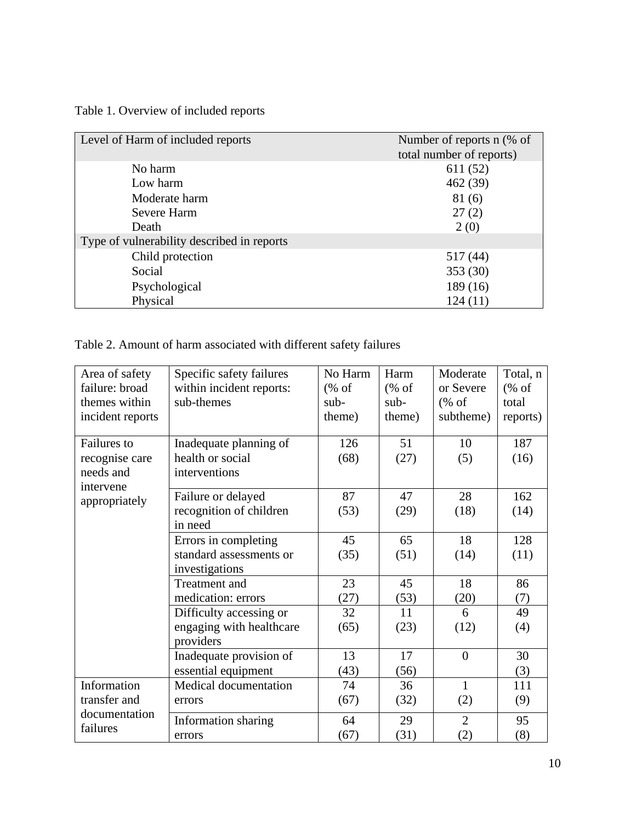Table 1. Overview of included reports

| Level of Harm of included reports          | Number of reports n (% of<br>total number of reports) |
|--------------------------------------------|-------------------------------------------------------|
| No harm                                    | 611 (52)                                              |
| Low harm                                   | 462(39)                                               |
| Moderate harm                              | 81(6)                                                 |
| Severe Harm                                | 27(2)                                                 |
| Death                                      | 2(0)                                                  |
| Type of vulnerability described in reports |                                                       |
| Child protection                           | 517 (44)                                              |
| Social                                     | 353 (30)                                              |
| Psychological                              | 189 (16)                                              |
| Physical                                   | 124(11)                                               |

Table 2. Amount of harm associated with different safety failures

| Area of safety             | Specific safety failures | No Harm | Harm   | Moderate       | Total, n                         |
|----------------------------|--------------------------|---------|--------|----------------|----------------------------------|
| failure: broad             | within incident reports: | % of    | % of   | or Severe      | $(% \mathcal{L}_{0}^{\infty}$ of |
| themes within              | sub-themes               | sub-    | $sub-$ | % of           | total                            |
| incident reports           |                          | theme)  | theme) | subtheme)      | reports)                         |
|                            |                          |         |        |                |                                  |
| <b>Failures</b> to         | Inadequate planning of   | 126     | 51     | 10             | 187                              |
| recognise care             | health or social         | (68)    | (27)   | (5)            | (16)                             |
| needs and                  | interventions            |         |        |                |                                  |
| intervene<br>appropriately | Failure or delayed       | 87      | 47     | 28             | 162                              |
|                            | recognition of children  | (53)    | (29)   | (18)           | (14)                             |
|                            | in need                  |         |        |                |                                  |
|                            | Errors in completing     | 45      | 65     | 18             | 128                              |
|                            | standard assessments or  | (35)    | (51)   | (14)           | (11)                             |
|                            | investigations           |         |        |                |                                  |
|                            | Treatment and            | 23      | 45     | 18             | 86                               |
|                            | medication: errors       | (27)    | (53)   | (20)           | (7)                              |
|                            | Difficulty accessing or  | 32      | 11     | 6              | 49                               |
|                            | engaging with healthcare | (65)    | (23)   | (12)           | (4)                              |
|                            | providers                |         |        |                |                                  |
|                            | Inadequate provision of  | 13      | 17     | $\overline{0}$ | 30                               |
|                            | essential equipment      | (43)    | (56)   |                | (3)                              |
| Information                | Medical documentation    | 74      | 36     | $\mathbf{1}$   | 111                              |
| transfer and               | errors                   | (67)    | (32)   | (2)            | (9)                              |
| documentation              | Information sharing      | 64      | 29     | $\overline{2}$ | 95                               |
| failures                   | errors                   | (67)    | (31)   | (2)            | (8)                              |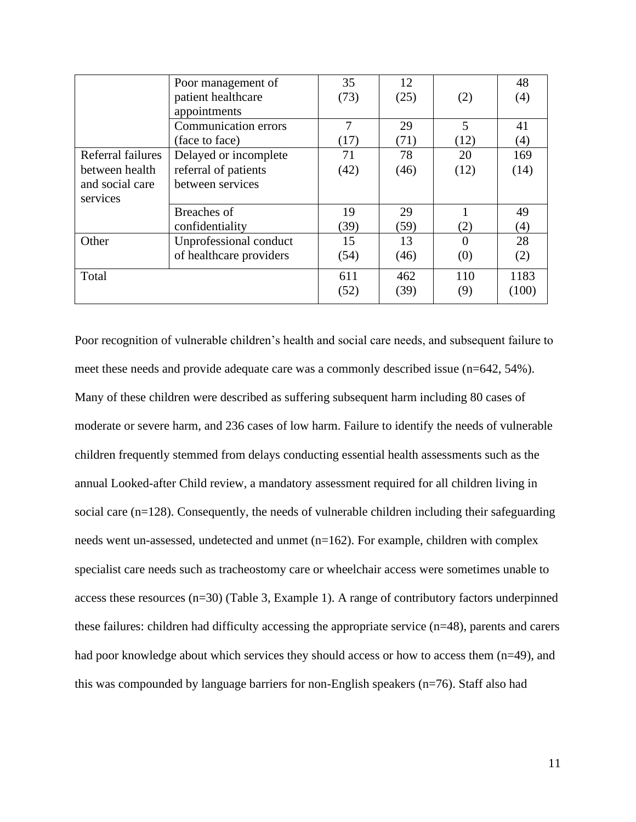|                   | Poor management of          | 35   | 12   |      | 48    |
|-------------------|-----------------------------|------|------|------|-------|
|                   | patient healthcare          | (73) | (25) | (2)  | (4)   |
|                   | appointments                |      |      |      |       |
|                   | <b>Communication errors</b> | 7    | 29   | 5    | 41    |
|                   | (face to face)              | (17) | (71) | (12) | (4)   |
| Referral failures | Delayed or incomplete       | 71   | 78   | 20   | 169   |
| between health    | referral of patients        | (42) | (46) | (12) | (14)  |
| and social care   | between services            |      |      |      |       |
| services          |                             |      |      |      |       |
|                   | Breaches of                 | 19   | 29   |      | 49    |
|                   | confidentiality             | (39) | (59) | (2)  | (4)   |
| Other             | Unprofessional conduct      | 15   | 13   |      | 28    |
|                   | of healthcare providers     | (54) | (46) | (0)  | (2)   |
| Total             |                             | 611  | 462  | 110  | 1183  |
|                   |                             | (52) | (39) | (9)  | (100) |

Poor recognition of vulnerable children's health and social care needs, and subsequent failure to meet these needs and provide adequate care was a commonly described issue (n=642, 54%). Many of these children were described as suffering subsequent harm including 80 cases of moderate or severe harm, and 236 cases of low harm. Failure to identify the needs of vulnerable children frequently stemmed from delays conducting essential health assessments such as the annual Looked-after Child review, a mandatory assessment required for all children living in social care  $(n=128)$ . Consequently, the needs of vulnerable children including their safeguarding needs went un-assessed, undetected and unmet (n=162). For example, children with complex specialist care needs such as tracheostomy care or wheelchair access were sometimes unable to access these resources  $(n=30)$  (Table 3, Example 1). A range of contributory factors underpinned these failures: children had difficulty accessing the appropriate service  $(n=48)$ , parents and carers had poor knowledge about which services they should access or how to access them (n=49), and this was compounded by language barriers for non-English speakers  $(n=76)$ . Staff also had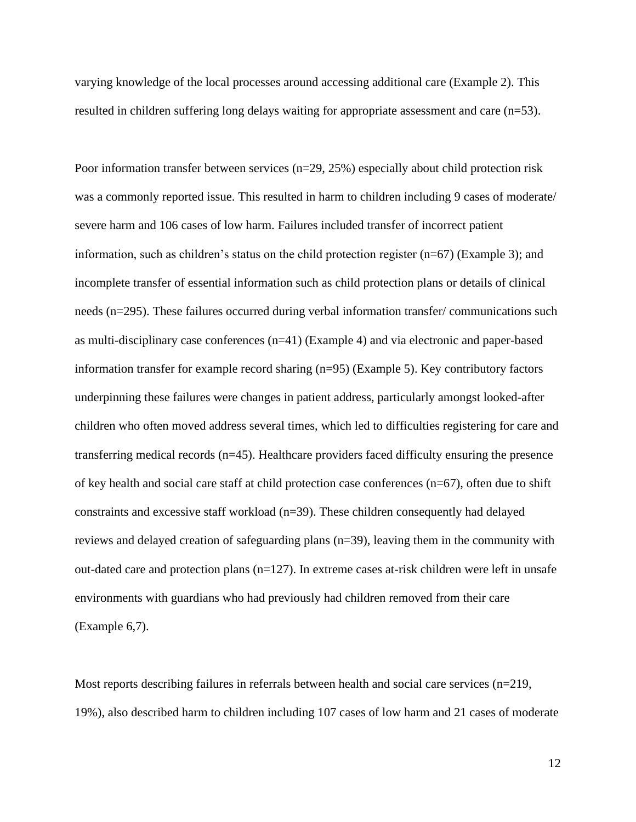varying knowledge of the local processes around accessing additional care (Example 2). This resulted in children suffering long delays waiting for appropriate assessment and care  $(n=53)$ .

Poor information transfer between services ( $n=29$ , 25%) especially about child protection risk was a commonly reported issue. This resulted in harm to children including 9 cases of moderate/ severe harm and 106 cases of low harm. Failures included transfer of incorrect patient information, such as children's status on the child protection register  $(n=67)$  (Example 3); and incomplete transfer of essential information such as child protection plans or details of clinical needs (n=295). These failures occurred during verbal information transfer/communications such as multi-disciplinary case conferences  $(n=41)$  (Example 4) and via electronic and paper-based information transfer for example record sharing (n=95) (Example 5). Key contributory factors underpinning these failures were changes in patient address, particularly amongst looked-after children who often moved address several times, which led to difficulties registering for care and transferring medical records  $(n=45)$ . Healthcare providers faced difficulty ensuring the presence of key health and social care staff at child protection case conferences  $(n=67)$ , often due to shift constraints and excessive staff workload  $(n=39)$ . These children consequently had delayed reviews and delayed creation of safeguarding plans  $(n=39)$ , leaving them in the community with out-dated care and protection plans  $(n=127)$ . In extreme cases at-risk children were left in unsafe environments with guardians who had previously had children removed from their care  $(Example 6,7)$ .

Most reports describing failures in referrals between health and social care services (n=219, 19%), also described harm to children including 107 cases of low harm and 21 cases of moderate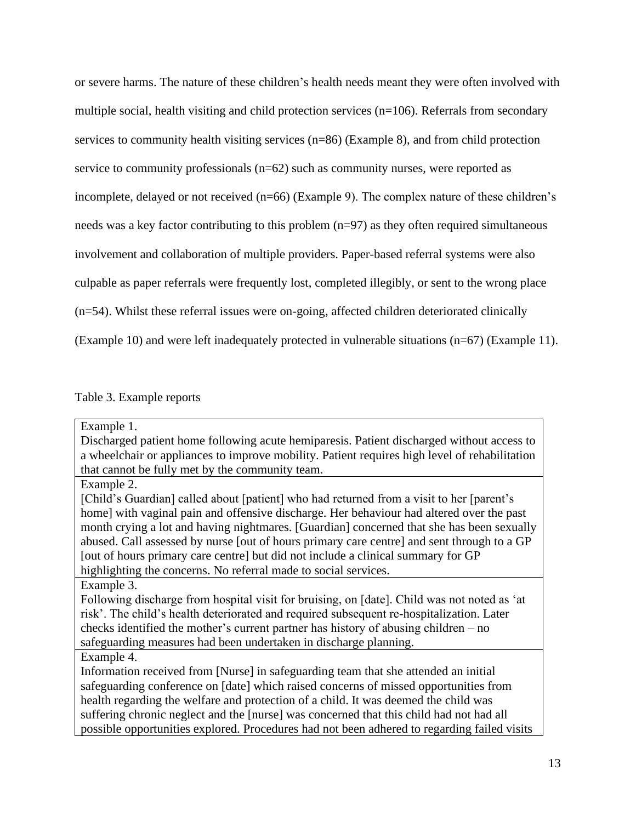or severe harms. The nature of these children's health needs meant they were often involved with multiple social, health visiting and child protection services  $(n=106)$ . Referrals from secondary services to community health visiting services  $(n=86)$  (Example 8), and from child protection service to community professionals  $(n=62)$  such as community nurses, were reported as incomplete, delayed or not received (n=66) (Example 9). The complex nature of these children's needs was a key factor contributing to this problem (n=97) as they often required simultaneous involvement and collaboration of multiple providers. Paper-based referral systems were also culpable as paper referrals were frequently lost, completed illegibly, or sent to the wrong place  $(n=54)$ . Whilst these referral issues were on-going, affected children deteriorated clinically (Example 10) and were left inadequately protected in vulnerable situations (n=67) (Example 11).

# Table 3. Example reports

| Example 1.                                                                                    |
|-----------------------------------------------------------------------------------------------|
| Discharged patient home following acute hemiparesis. Patient discharged without access to     |
| a wheelchair or appliances to improve mobility. Patient requires high level of rehabilitation |
| that cannot be fully met by the community team.                                               |
| Example 2.                                                                                    |
| [Child's Guardian] called about [patient] who had returned from a visit to her [parent's      |
| home] with vaginal pain and offensive discharge. Her behaviour had altered over the past      |
| month crying a lot and having nightmares. [Guardian] concerned that she has been sexually     |
| abused. Call assessed by nurse [out of hours primary care centre] and sent through to a GP    |
| [out of hours primary care centre] but did not include a clinical summary for GP              |
| highlighting the concerns. No referral made to social services.                               |
| Example 3.                                                                                    |
| Following discharge from hospital visit for bruising, on [date]. Child was not noted as 'at   |
| risk'. The child's health deteriorated and required subsequent re-hospitalization. Later      |
| checks identified the mother's current partner has history of abusing children – no           |
| safeguarding measures had been undertaken in discharge planning.                              |
| Example 4.                                                                                    |
| Information received from [Nurse] in safeguarding team that she attended an initial           |
| safeguarding conference on [date] which raised concerns of missed opportunities from          |
| health regarding the welfare and protection of a child. It was deemed the child was           |
| suffering chronic neglect and the [nurse] was concerned that this child had not had all       |
| possible opportunities explored. Procedures had not been adhered to regarding failed visits   |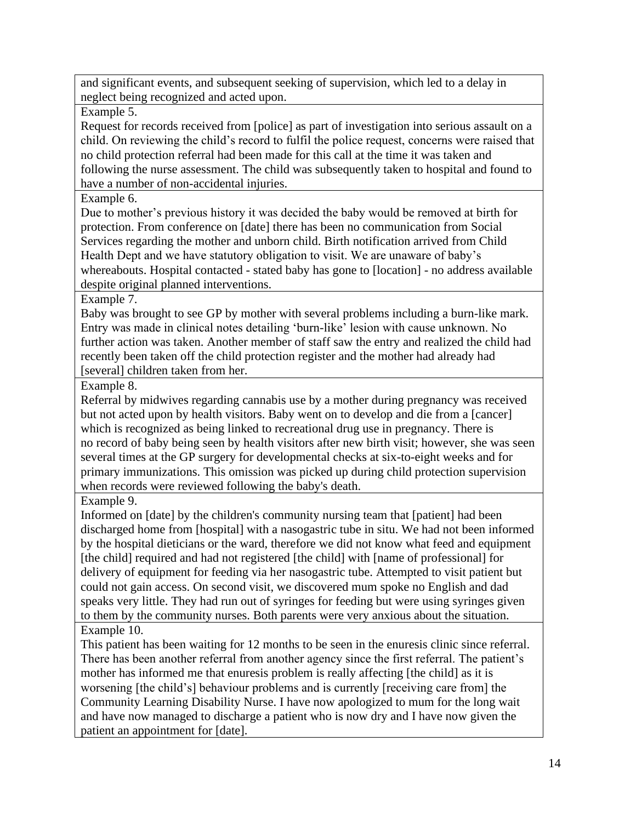and significant events, and subsequent seeking of supervision, which led to a delay in neglect being recognized and acted upon.

Example 5.

Request for records received from [police] as part of investigation into serious assault on a child. On reviewing the child's record to fulfil the police request, concerns were raised that no child protection referral had been made for this call at the time it was taken and following the nurse assessment. The child was subsequently taken to hospital and found to have a number of non-accidental injuries.

Example 6.

Due to mother's previous history it was decided the baby would be removed at birth for protection. From conference on [date] there has been no communication from Social Services regarding the mother and unborn child. Birth notification arrived from Child Health Dept and we have statutory obligation to visit. We are unaware of baby's whereabouts. Hospital contacted - stated baby has gone to [location] - no address available despite original planned interventions.

Example 7.

Baby was brought to see GP by mother with several problems including a burn-like mark. Entry was made in clinical notes detailing 'burn-like' lesion with cause unknown. No further action was taken. Another member of staff saw the entry and realized the child had recently been taken off the child protection register and the mother had already had [several] children taken from her.

Example 8.

Referral by midwives regarding cannabis use by a mother during pregnancy was received but not acted upon by health visitors. Baby went on to develop and die from a [cancer] which is recognized as being linked to recreational drug use in pregnancy. There is no record of baby being seen by health visitors after new birth visit; however, she was seen several times at the GP surgery for developmental checks at six-to-eight weeks and for primary immunizations. This omission was picked up during child protection supervision when records were reviewed following the baby's death.

Example 9.

Informed on [date] by the children's community nursing team that [patient] had been discharged home from [hospital] with a nasogastric tube in situ. We had not been informed by the hospital dieticians or the ward, therefore we did not know what feed and equipment [the child] required and had not registered [the child] with [name of professional] for delivery of equipment for feeding via her nasogastric tube. Attempted to visit patient but could not gain access. On second visit, we discovered mum spoke no English and dad speaks very little. They had run out of syringes for feeding but were using syringes given to them by the community nurses. Both parents were very anxious about the situation. Example 10.

This patient has been waiting for 12 months to be seen in the enuresis clinic since referral. There has been another referral from another agency since the first referral. The patient's mother has informed me that enures is problem is really affecting [the child] as it is worsening [the child's] behaviour problems and is currently [receiving care from] the Community Learning Disability Nurse. I have now apologized to mum for the long wait and have now managed to discharge a patient who is now dry and I have now given the patient an appointment for [date].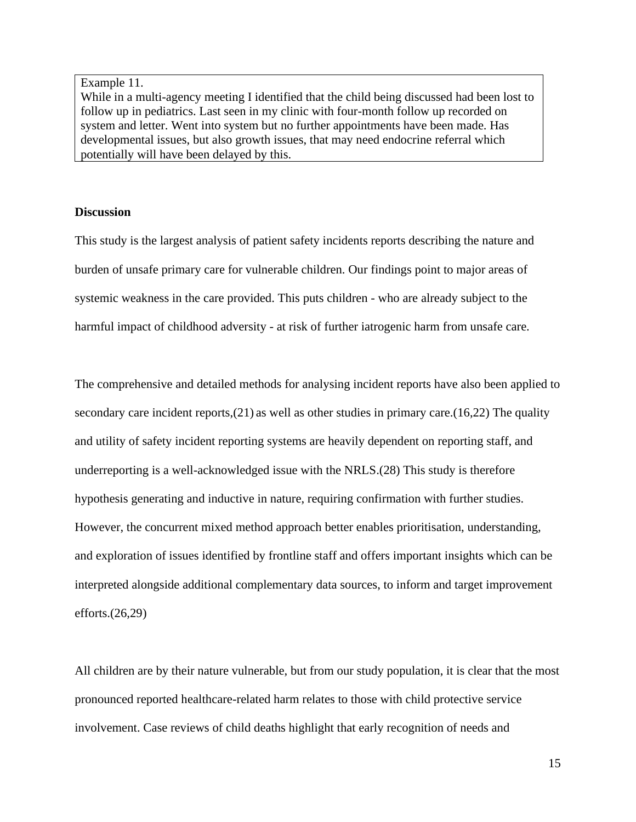Example 11.

While in a multi-agency meeting I identified that the child being discussed had been lost to follow up in pediatrics. Last seen in my clinic with four-month follow up recorded on system and letter. Went into system but no further appointments have been made. Has developmental issues, but also growth issues, that may need endocrine referral which potentially will have been delayed by this.

# **Discussion**

This study is the largest analysis of patient safety incidents reports describing the nature and burden of unsafe primary care for vulnerable children. Our findings point to major areas of systemic weakness in the care provided. This puts children - who are already subject to the harmful impact of childhood adversity - at risk of further iatrogenic harm from unsafe care.

The comprehensive and detailed methods for analysing incident reports have also been applied to secondary care incident reports,  $(21)$  as well as other studies in primary care.  $(16,22)$  The quality and utility of safety incident reporting systems are heavily dependent on reporting staff, and underreporting is a well-acknowledged issue with the NRLS. (28) This study is therefore hypothesis generating and inductive in nature, requiring confirmation with further studies. However, the concurrent mixed method approach better enables prioritisation, understanding, and exploration of issues identified by frontline staff and offers important insights which can be interpreted alongside additional complementary data sources, to inform and target improvement efforts. $(26,29)$ 

All children are by their nature vulnerable, but from our study population, it is clear that the most pronounced reported healthcare-related harm relates to those with child protective service involvement. Case reviews of child deaths highlight that early recognition of needs and

15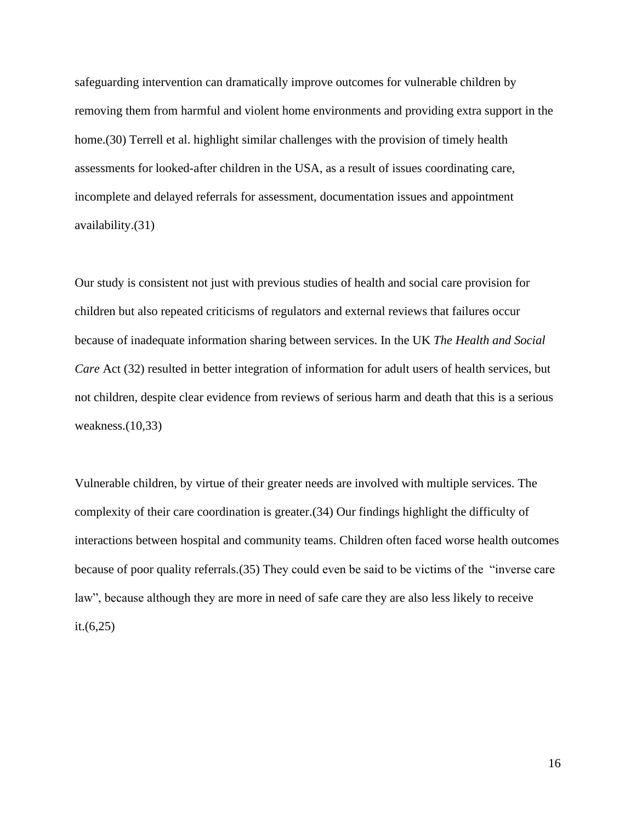safeguarding intervention can dramatically improve outcomes for vulnerable children by removing them from harmful and violent home environments and providing extra support in the home. (30) Terrell et al. highlight similar challenges with the provision of timely health assessments for looked-after children in the USA, as a result of issues coordinating care, incomplete and delayed referrals for assessment, documentation issues and appointment availability.(31)

Our study is consistent not just with previous studies of health and social care provision for children but also repeated criticisms of regulators and external reviews that failures occur because of inadequate information sharing between services. In the UK The Health and Social Care Act (32) resulted in better integration of information for adult users of health services, but not children, despite clear evidence from reviews of serious harm and death that this is a serious weakness. $(10,33)$ 

Vulnerable children, by virtue of their greater needs are involved with multiple services. The complexity of their care coordination is greater. (34) Our findings highlight the difficulty of interactions between hospital and community teams. Children often faced worse health outcomes because of poor quality referrals. (35) They could even be said to be victims of the "inverse care" law", because although they are more in need of safe care they are also less likely to receive it. $(6,25)$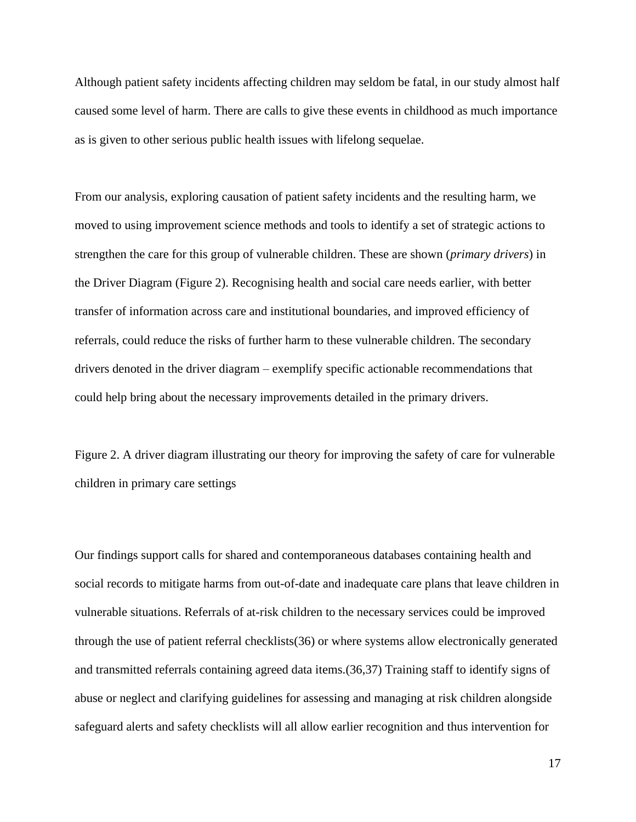Although patient safety incidents affecting children may seldom be fatal, in our study almost half caused some level of harm. There are calls to give these events in childhood as much importance as is given to other serious public health issues with lifelong sequelae.

From our analysis, exploring causation of patient safety incidents and the resulting harm, we moved to using improvement science methods and tools to identify a set of strategic actions to strengthen the care for this group of vulnerable children. These are shown (*primary drivers*) in the Driver Diagram (Figure 2). Recognising health and social care needs earlier, with better transfer of information across care and institutional boundaries, and improved efficiency of referrals, could reduce the risks of further harm to these vulnerable children. The secondary drivers denoted in the driver diagram – exemplify specific actionable recommendations that could help bring about the necessary improvements detailed in the primary drivers.

Figure 2. A driver diagram illustrating our theory for improving the safety of care for vulnerable children in primary care settings

Our findings support calls for shared and contemporaneous databases containing health and social records to mitigate harms from out-of-date and inadequate care plans that leave children in vulnerable situations. Referrals of at-risk children to the necessary services could be improved through the use of patient referral checklists (36) or where systems allow electronically generated and transmitted referrals containing agreed data items. (36,37) Training staff to identify signs of abuse or neglect and clarifying guidelines for assessing and managing at risk children alongside safeguard alerts and safety checklists will all allow earlier recognition and thus intervention for

17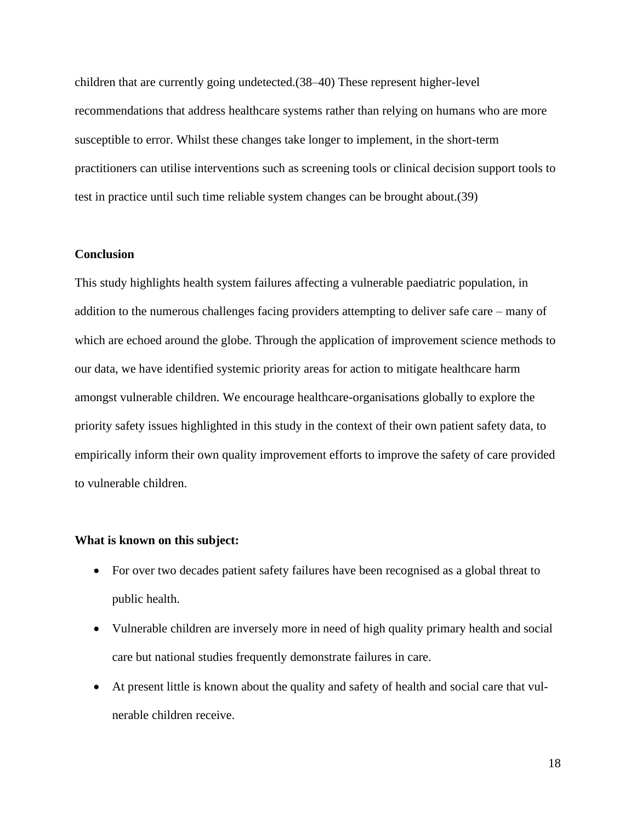children that are currently going undetected. (38–40) These represent higher-level recommendations that address healthcare systems rather than relying on humans who are more susceptible to error. Whilst these changes take longer to implement, in the short-term practitioners can utilise interventions such as screening tools or clinical decision support tools to test in practice until such time reliable system changes can be brought about.(39)

#### **Conclusion**

This study highlights health system failures affecting a vulnerable paediatric population, in addition to the numerous challenges facing providers attempting to deliver safe care – many of which are echoed around the globe. Through the application of improvement science methods to our data, we have identified systemic priority areas for action to mitigate healthcare harm amongst vulnerable children. We encourage healthcare-organisations globally to explore the priority safety issues highlighted in this study in the context of their own patient safety data, to empirically inform their own quality improvement efforts to improve the safety of care provided to vulnerable children.

#### What is known on this subject:

- For over two decades patient safety failures have been recognised as a global threat to public health.
- Vulnerable children are inversely more in need of high quality primary health and social care but national studies frequently demonstrate failures in care.
- At present little is known about the quality and safety of health and social care that vulnerable children receive.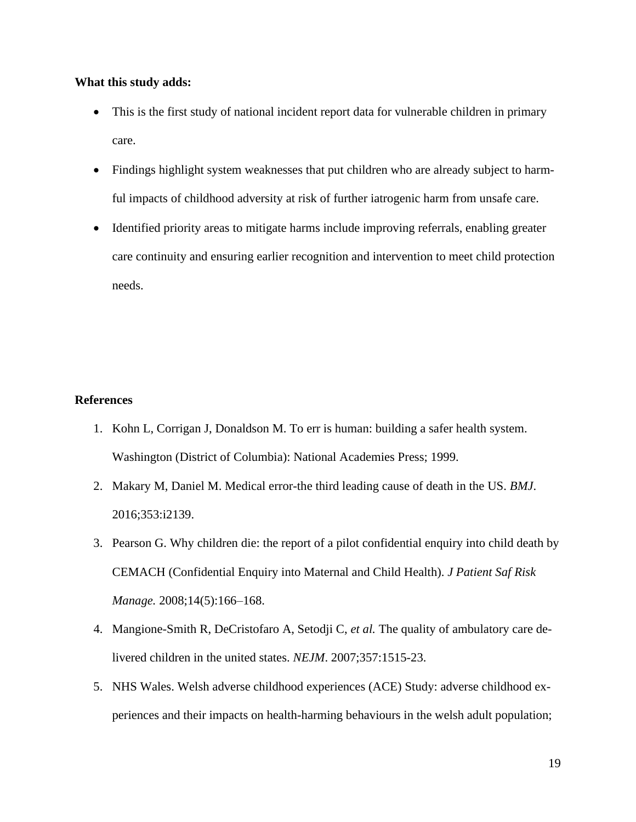### What this study adds:

- This is the first study of national incident report data for vulnerable children in primary care.
- Findings highlight system weaknesses that put children who are already subject to harmful impacts of childhood adversity at risk of further iatrogenic harm from unsafe care.
- Identified priority areas to mitigate harms include improving referrals, enabling greater care continuity and ensuring earlier recognition and intervention to meet child protection needs.

# **References**

- 1. Kohn L, Corrigan J, Donaldson M. To err is human: building a safer health system. Washington (District of Columbia): National Academies Press; 1999.
- 2. Makary M, Daniel M. Medical error-the third leading cause of death in the US. BMJ. 2016;353:i2139.
- 3. Pearson G. Why children die: the report of a pilot confidential enquiry into child death by CEMACH (Confidential Enquiry into Maternal and Child Health). J Patient Saf Risk Manage. 2008;14(5):166-168.
- 4. Mangione-Smith R, DeCristofaro A, Setodji C, et al. The quality of ambulatory care delivered children in the united states. NEJM. 2007;357:1515-23.
- 5. NHS Wales. Welsh adverse childhood experiences (ACE) Study: adverse childhood experiences and their impacts on health-harming behaviours in the welsh adult population;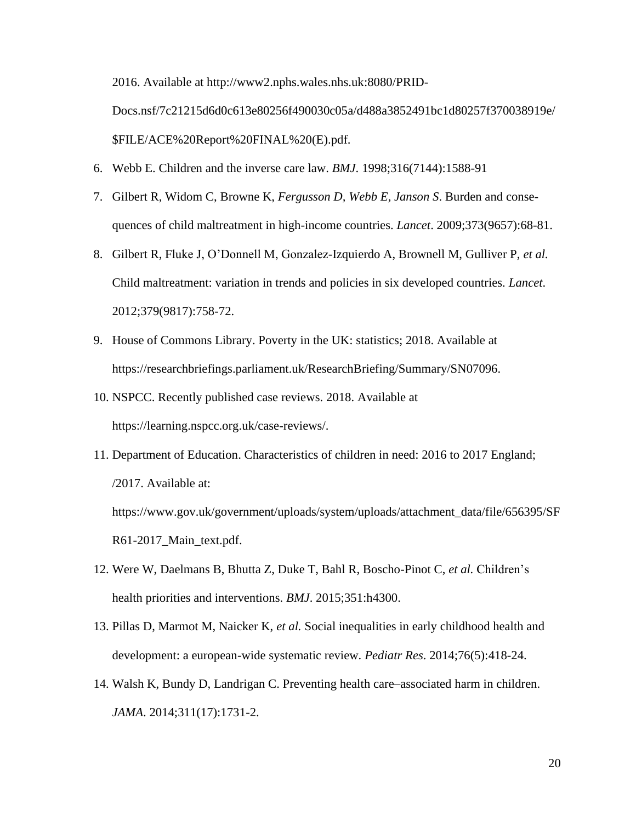2016. Available at http://www2.nphs.wales.nhs.uk:8080/PRID-

Docs.nsf/7c21215d6d0c613e80256f490030c05a/d488a3852491bc1d80257f370038919e/ \$FILE/ACE%20Report%20FINAL%20(E).pdf.

- 6. Webb E. Children and the inverse care law. *BMJ*. 1998;316(7144):1588-91
- 7. Gilbert R, Widom C, Browne K, Fergusson D, Webb E, Janson S. Burden and consequences of child maltreatment in high-income countries. *Lancet*. 2009;373(9657):68-81.
- 8. Gilbert R, Fluke J, O'Donnell M, Gonzalez-Izquierdo A, Brownell M, Gulliver P, et al. Child maltreatment: variation in trends and policies in six developed countries. Lancet. 2012;379(9817):758-72.
- 9. House of Commons Library. Poverty in the UK: statistics; 2018. Available at https://researchbriefings.parliament.uk/ResearchBriefing/Summary/SN07096.
- 10. NSPCC. Recently published case reviews. 2018. Available at https://learning.nspcc.org.uk/case-reviews/.
- 11. Department of Education. Characteristics of children in need: 2016 to 2017 England; /2017. Available at:

https://www.gov.uk/government/uploads/system/uploads/attachment\_data/file/656395/SF R61-2017\_Main\_text.pdf.

- 12. Were W, Daelmans B, Bhutta Z, Duke T, Bahl R, Boscho-Pinot C, et al. Children's health priorities and interventions. *BMJ*. 2015;351:h4300.
- 13. Pillas D, Marmot M, Naicker K, et al. Social inequalities in early childhood health and development: a european-wide systematic review. *Pediatr Res.* 2014;76(5):418-24.
- 14. Walsh K, Bundy D, Landrigan C. Preventing health care–associated harm in children. JAMA. 2014;311(17):1731-2.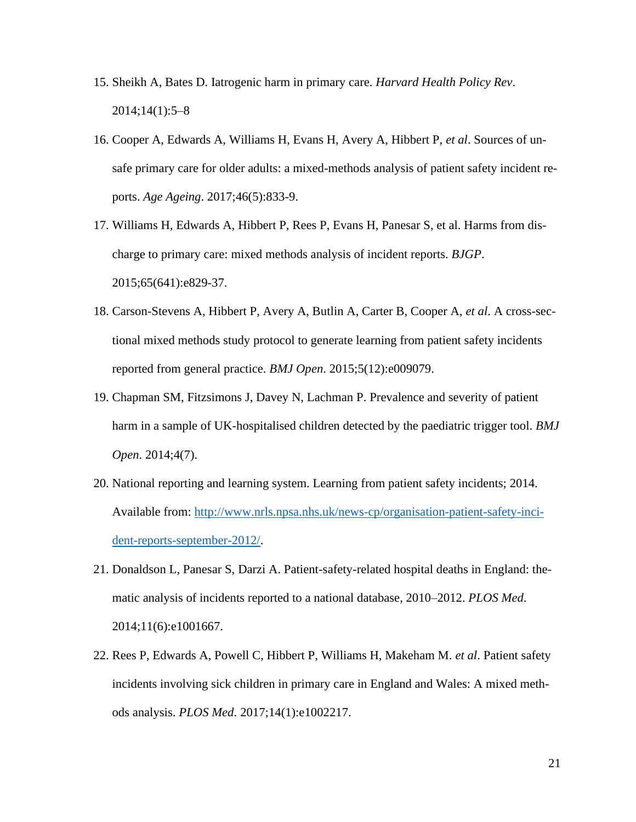- 15. Sheikh A, Bates D. Iatrogenic harm in primary care. *Harvard Health Policy Rev.*  $2014;14(1):5-8$
- 16. Cooper A, Edwards A, Williams H, Evans H, Avery A, Hibbert P, et al. Sources of unsafe primary care for older adults: a mixed-methods analysis of patient safety incident reports. Age Ageing. 2017;46(5):833-9.
- 17. Williams H, Edwards A, Hibbert P, Rees P, Evans H, Panesar S, et al. Harms from discharge to primary care: mixed methods analysis of incident reports. *BJGP*. 2015;65(641):e829-37.
- 18. Carson-Stevens A, Hibbert P, Avery A, Butlin A, Carter B, Cooper A, et al. A cross-sectional mixed methods study protocol to generate learning from patient safety incidents reported from general practice. BMJ Open. 2015;5(12):e009079.
- 19. Chapman SM, Fitzsimons J, Davey N, Lachman P. Prevalence and severity of patient harm in a sample of UK-hospitalised children detected by the paediatric trigger tool. BMJ Open. 2014;4(7).
- 20. National reporting and learning system. Learning from patient safety incidents; 2014. Available from: http://www.nrls.npsa.nhs.uk/news-cp/organisation-patient-safety-incident-reports-september-2012/.
- 21. Donaldson L, Panesar S, Darzi A. Patient-safety-related hospital deaths in England: thematic analysis of incidents reported to a national database, 2010–2012. PLOS Med. 2014;11(6):e1001667.
- 22. Rees P, Edwards A, Powell C, Hibbert P, Williams H, Makeham M. et al. Patient safety incidents involving sick children in primary care in England and Wales: A mixed methods analysis. PLOS Med. 2017;14(1):e1002217.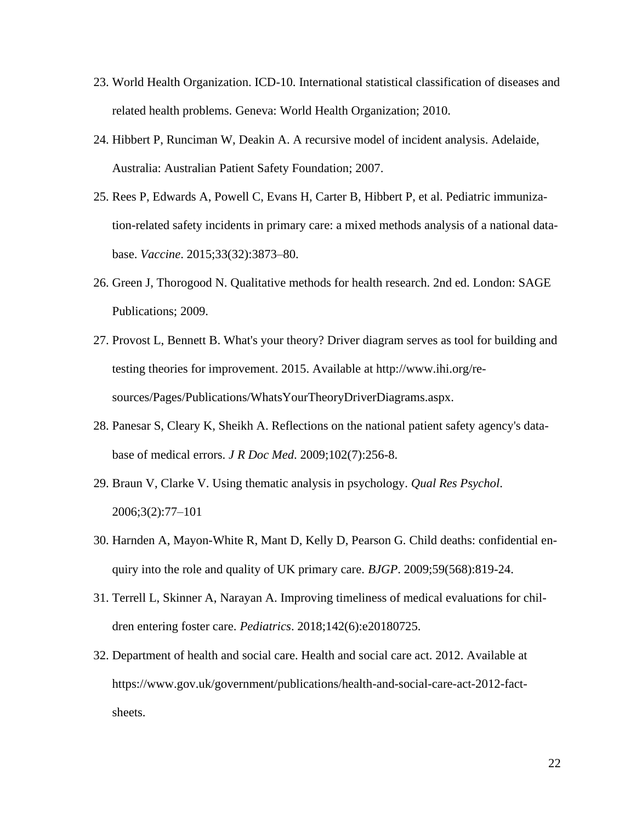- 23. World Health Organization. ICD-10. International statistical classification of diseases and related health problems. Geneva: World Health Organization; 2010.
- 24. Hibbert P, Runciman W, Deakin A. A recursive model of incident analysis. Adelaide, Australia: Australian Patient Safety Foundation; 2007.
- 25. Rees P, Edwards A, Powell C, Evans H, Carter B, Hibbert P, et al. Pediatric immunization-related safety incidents in primary care: a mixed methods analysis of a national database. Vaccine. 2015;33(32):3873-80.
- 26. Green J, Thorogood N. Qualitative methods for health research. 2nd ed. London: SAGE Publications; 2009.
- 27. Provost L, Bennett B. What's your theory? Driver diagram serves as tool for building and testing theories for improvement. 2015. Available at http://www.ihi.org/resources/Pages/Publications/WhatsYourTheoryDriverDiagrams.aspx.
- 28. Panesar S, Cleary K, Sheikh A. Reflections on the national patient safety agency's database of medical errors. *J R Doc Med.* 2009;102(7):256-8.
- 29. Braun V, Clarke V. Using thematic analysis in psychology. *Qual Res Psychol*. 2006;3(2):77-101
- 30. Harnden A, Mayon-White R, Mant D, Kelly D, Pearson G. Child deaths: confidential enquiry into the role and quality of UK primary care. *BJGP*. 2009;59(568):819-24.
- 31. Terrell L, Skinner A, Narayan A. Improving timeliness of medical evaluations for children entering foster care. *Pediatrics*. 2018;142(6):e20180725.
- 32. Department of health and social care. Health and social care act. 2012. Available at https://www.gov.uk/government/publications/health-and-social-care-act-2012-factsheets.